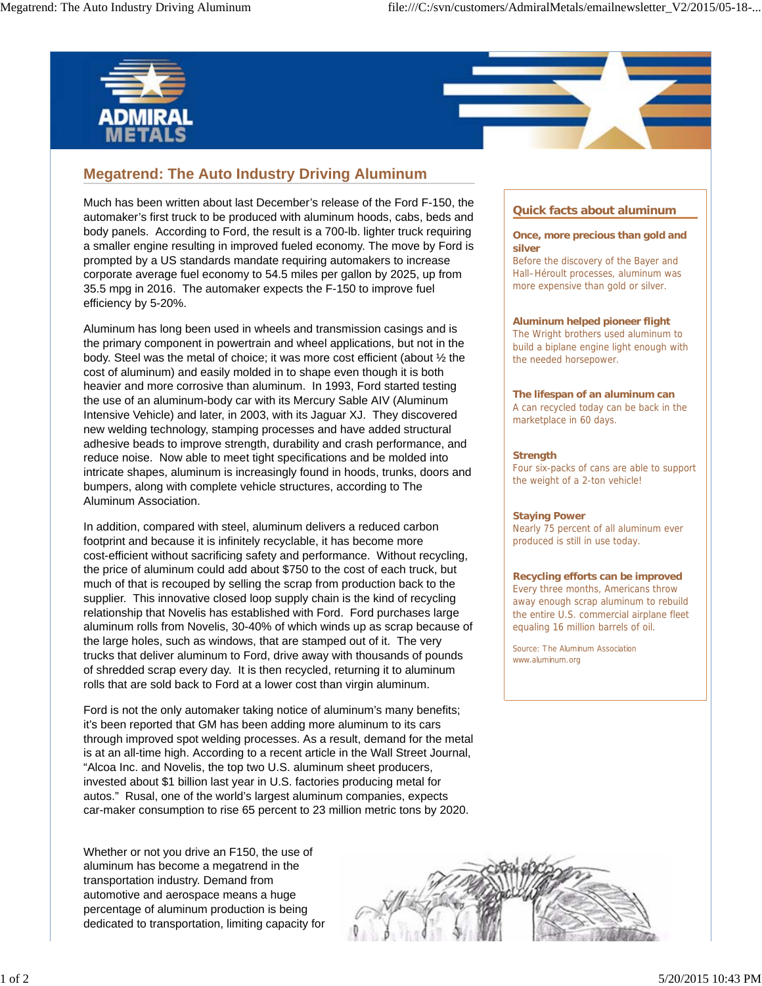



Much has been written about last December's release of the Ford F-150, the automaker's first truck to be produced with aluminum hoods, cabs, beds and body panels. According to Ford, the result is a 700-lb. lighter truck requiring a smaller engine resulting in improved fueled economy. The move by Ford is prompted by a US standards mandate requiring automakers to increase corporate average fuel economy to 54.5 miles per gallon by 2025, up from 35.5 mpg in 2016. The automaker expects the F-150 to improve fuel efficiency by 5-20%.

Aluminum has long been used in wheels and transmission casings and is the primary component in powertrain and wheel applications, but not in the body. Steel was the metal of choice; it was more cost efficient (about ½ the cost of aluminum) and easily molded in to shape even though it is both heavier and more corrosive than aluminum. In 1993, Ford started testing the use of an aluminum-body car with its Mercury Sable AIV (Aluminum Intensive Vehicle) and later, in 2003, with its Jaguar XJ. They discovered new welding technology, stamping processes and have added structural adhesive beads to improve strength, durability and crash performance, and reduce noise. Now able to meet tight specifications and be molded into intricate shapes, aluminum is increasingly found in hoods, trunks, doors and bumpers, along with complete vehicle structures, according to The Aluminum Association.

In addition, compared with steel, aluminum delivers a reduced carbon footprint and because it is infinitely recyclable, it has become more cost-efficient without sacrificing safety and performance. Without recycling, the price of aluminum could add about \$750 to the cost of each truck, but much of that is recouped by selling the scrap from production back to the supplier. This innovative closed loop supply chain is the kind of recycling relationship that Novelis has established with Ford. Ford purchases large aluminum rolls from Novelis, 30-40% of which winds up as scrap because of the large holes, such as windows, that are stamped out of it. The very trucks that deliver aluminum to Ford, drive away with thousands of pounds of shredded scrap every day. It is then recycled, returning it to aluminum rolls that are sold back to Ford at a lower cost than virgin aluminum.

Ford is not the only automaker taking notice of aluminum's many benefits; it's been reported that GM has been adding more aluminum to its cars through improved spot welding processes. As a result, demand for the metal is at an all-time high. According to a recent article in the Wall Street Journal, "Alcoa Inc. and Novelis, the top two U.S. aluminum sheet producers, invested about \$1 billion last year in U.S. factories producing metal for autos." Rusal, one of the world's largest aluminum companies, expects car-maker consumption to rise 65 percent to 23 million metric tons by 2020.

Whether or not you drive an F150, the use of aluminum has become a megatrend in the transportation industry. Demand from automotive and aerospace means a huge percentage of aluminum production is being dedicated to transportation, limiting capacity for

# **Quick facts about aluminum**

## **Once, more precious than gold and silver**

Before the discovery of the Bayer and Hall–Héroult processes, aluminum was more expensive than gold or silver.

## **Aluminum helped pioneer flight**

The Wright brothers used aluminum to build a biplane engine light enough with the needed horsepower.

## **The lifespan of an aluminum can** A can recycled today can be back in the marketplace in 60 days.

## **Strength**

Four six-packs of cans are able to support the weight of a 2-ton vehicle!

#### **Staying Power**

Nearly 75 percent of all aluminum ever produced is still in use today.

#### **Recycling efforts can be improved**

Every three months, Americans throw away enough scrap aluminum to rebuild the entire U.S. commercial airplane fleet equaling 16 million barrels of oil.

Source: The Aluminum Association www.aluminum.org